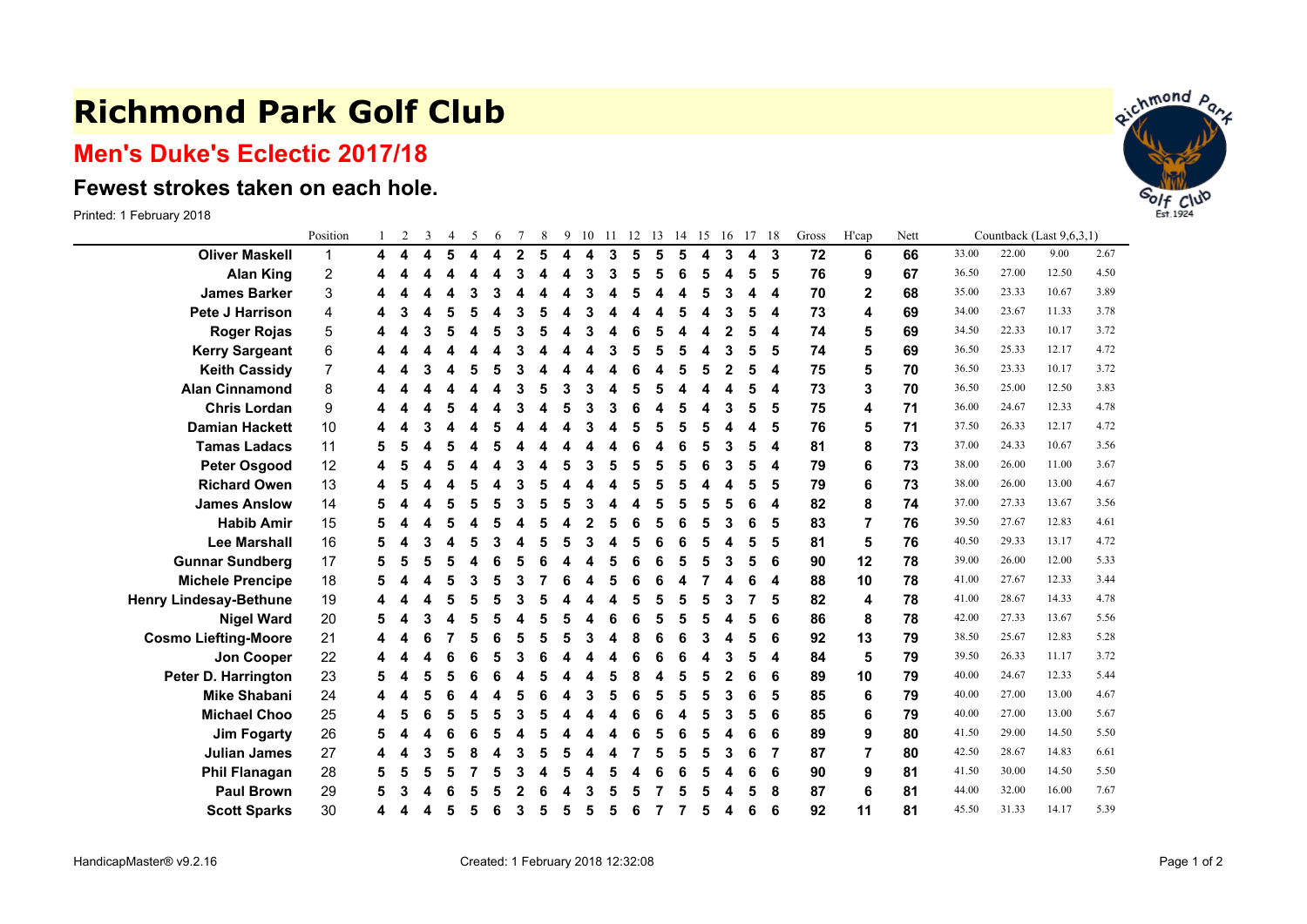## **Richmond Park Golf Club**

## **Men's Duke's Eclectic 2017/18**

## **Fewest strokes taken on each hole.**

Printed: 1 February 2018

|                               | Position                |   | $\overline{2}$ | 3 | $\overline{4}$ | 5                       | 6 |                | 8 | 9 | 10 | -11 |   | 12 13 | 14 15 |   | 16 | 17 18 |                | Gross | H'cap        | Nett | Countback (Last 9,6,3,1) |       |       |      |  |
|-------------------------------|-------------------------|---|----------------|---|----------------|-------------------------|---|----------------|---|---|----|-----|---|-------|-------|---|----|-------|----------------|-------|--------------|------|--------------------------|-------|-------|------|--|
| <b>Oliver Maskell</b>         | $\mathbf{1}$            | 4 | 4              | 4 | 5              | $\overline{\mathbf{4}}$ | 4 | $\overline{2}$ | 5 | 4 | 4  | 3   | 5 | 5     | 5     | 4 | 3  | 4     | - 3            | 72    | 6            | 66   | 33.00                    | 22.00 | 9.00  | 2.67 |  |
| <b>Alan King</b>              | $\overline{\mathbf{c}}$ |   |                |   | Δ              |                         |   | 3              |   | 4 | 3  | 3   | 5 | 5     | 6     | 5 | 4  | 5     | 5              | 76    | 9            | 67   | 36.50                    | 27.00 | 12.50 | 4.50 |  |
| <b>James Barker</b>           | 3                       |   |                |   | Δ              | 3                       |   |                |   |   | 3  |     | 5 |       | 4     | 5 | 3  | 4     | 4              | 70    | $\mathbf{2}$ | 68   | 35.00                    | 23.33 | 10.67 | 3.89 |  |
| <b>Pete J Harrison</b>        | 4                       |   |                |   | 5              | 5                       |   |                |   |   |    |     |   |       | 5     |   |    | 5     | 4              | 73    | 4            | 69   | 34.00                    | 23.67 | 11.33 | 3.78 |  |
| <b>Roger Rojas</b>            | 5                       |   |                |   | л              |                         |   | 3              |   |   | З  |     |   |       |       |   |    | 5     | 4              | 74    | 5            | 69   | 34.50                    | 22.33 | 10.17 | 3.72 |  |
| <b>Kerry Sargeant</b>         | 6                       |   |                |   |                |                         |   | з              |   |   |    |     | 5 |       | 5     |   |    | 5     | 5              | 74    | 5            | 69   | 36.50                    | 25.33 | 12.17 | 4.72 |  |
| <b>Keith Cassidy</b>          | 7                       |   |                |   | 4              |                         |   |                |   |   |    |     |   |       | 5     | 5 | 2  | 5     | 4              | 75    | 5            | 70   | 36.50                    | 23.33 | 10.17 | 3.72 |  |
| <b>Alan Cinnamond</b>         | 8                       |   |                |   |                |                         |   |                |   |   |    |     |   |       |       |   |    | 5     | 4              | 73    | 3            | 70   | 36.50                    | 25.00 | 12.50 | 3.83 |  |
| <b>Chris Lordan</b>           | 9                       |   |                |   | 5              |                         |   | 3              |   | 5 | 3  |     | 6 |       | 5     | Δ | 3  | 5     | 5              | 75    | 4            | 71   | 36.00                    | 24.67 | 12.33 | 4.78 |  |
| <b>Damian Hackett</b>         | 10                      |   |                |   |                |                         |   |                |   |   |    |     |   |       | 5     |   |    | 4     | 5              | 76    | 5            | 71   | 37.50                    | 26.33 | 12.17 | 4.72 |  |
| <b>Tamas Ladacs</b>           | 11                      | 5 |                |   | 5              |                         |   |                |   |   |    |     | 6 |       | 6     | 5 |    | 5     | 4              | 81    | 8            | 73   | 37.00                    | 24.33 | 10.67 | 3.56 |  |
| <b>Peter Osgood</b>           | 12                      | 4 |                |   | 5              |                         |   | 3              |   | 5 | 3  |     | 5 | 5     | 5     | 6 | 3  | 5     | 4              | 79    | 6            | 73   | 38.00                    | 26.00 | 11.00 | 3.67 |  |
| <b>Richard Owen</b>           | 13                      |   |                |   |                |                         |   |                |   |   |    |     | 5 |       | 5     |   |    | 5     | 5              | 79    | 6            | 73   | 38.00                    | 26.00 | 13.00 | 4.67 |  |
| <b>James Anslow</b>           | 14                      |   |                |   | 5              |                         |   |                |   |   |    |     |   |       | 5     |   |    | 6     | 4              | 82    | 8            | 74   | 37.00                    | 27.33 | 13.67 | 3.56 |  |
| <b>Habib Amir</b>             | 15                      | 5 |                |   | 5              |                         |   |                |   |   |    |     |   |       | 6     |   |    | 6     | 5              | 83    | 7            | 76   | 39.50                    | 27.67 | 12.83 | 4.61 |  |
| <b>Lee Marshall</b>           | 16                      | 5 |                |   | 4              | 5                       | 3 |                |   | 5 | 3  |     | 5 | 6     | 6     | 5 | 4  | 5     | 5              | 81    | 5            | 76   | 40.50                    | 29.33 | 13.17 | 4.72 |  |
| <b>Gunnar Sundberg</b>        | 17                      | 5 |                |   | 5              |                         |   |                |   |   |    |     |   | 6     | 5     | 5 | 3  | 5     | 6              | 90    | 12           | 78   | 39.00                    | 26.00 | 12.00 | 5.33 |  |
| <b>Michele Prencipe</b>       | 18                      | 5 |                |   | 5              | 3                       |   |                |   |   |    |     | 6 |       |       |   |    | 6     | 4              | 88    | 10           | 78   | 41.00                    | 27.67 | 12.33 | 3.44 |  |
| <b>Henry Lindesay-Bethune</b> | 19                      |   |                |   | 5              | 5                       |   | 3              |   |   |    |     |   |       | 5     |   |    | 7     | 5              | 82    | 4            | 78   | 41.00                    | 28.67 | 14.33 | 4.78 |  |
| <b>Nigel Ward</b>             | 20                      | 5 |                |   | 4              | 5                       |   |                |   |   |    |     | 6 |       | 5     |   |    | 5     | 6              | 86    | 8            | 78   | 42.00                    | 27.33 | 13.67 | 5.56 |  |
| <b>Cosmo Liefting-Moore</b>   | 21                      | 4 |                |   |                | 5                       |   | 5              | 5 | 5 | 3  |     | 8 | 6     | 6     | 3 | 4  | 5     | 6              | 92    | 13           | 79   | 38.50                    | 25.67 | 12.83 | 5.28 |  |
| Jon Cooper                    | 22                      |   |                |   | 6              |                         |   |                |   |   |    |     |   |       | 6     |   |    | 5     | 4              | 84    | 5            | 79   | 39.50                    | 26.33 | 11.17 | 3.72 |  |
| Peter D. Harrington           | 23                      | 5 |                |   | 5              | 6                       |   |                |   |   |    |     | 8 |       | 5     | 5 | 2  | 6     | 6              | 89    | 10           | 79   | 40.00                    | 24.67 | 12.33 | 5.44 |  |
| <b>Mike Shabani</b>           | 24                      | 4 |                |   |                |                         |   |                |   |   | 3  |     |   | 5     | 5     | 5 | 3  | 6     | 5              | 85    | 6            | 79   | 40.00                    | 27.00 | 13.00 | 4.67 |  |
| <b>Michael Choo</b>           | 25                      | 4 | 5              |   | 5              | 5                       |   | з              |   |   |    |     |   |       | Δ     | 5 |    | 5     | 6              | 85    | 6            | 79   | 40.00                    | 27.00 | 13.00 | 5.67 |  |
| <b>Jim Fogarty</b>            | 26                      | 5 |                |   | 6              | 6                       |   |                |   |   |    |     |   | 5     | 6     | 5 |    | 6     | 6              | 89    | 9            | 80   | 41.50                    | 29.00 | 14.50 | 5.50 |  |
| <b>Julian James</b>           | 27                      | 4 |                |   | 5              |                         |   |                |   |   |    |     |   |       | 5     |   |    | 6     | $\overline{7}$ | 87    | 7            | 80   | 42.50                    | 28.67 | 14.83 | 6.61 |  |
| <b>Phil Flanagan</b>          | 28                      | 5 |                |   | 5              |                         |   |                |   | 5 |    |     |   |       |       |   |    | 6     | 6              | 90    | 9            | 81   | 41.50                    | 30.00 | 14.50 | 5.50 |  |
| <b>Paul Brown</b>             | 29                      | 5 |                |   |                |                         |   |                |   |   | 3  |     |   |       |       |   |    | 5     | 8              | 87    | 6            | 81   | 44.00                    | 32.00 | 16.00 | 7.67 |  |
| <b>Scott Sparks</b>           | 30                      | 4 |                |   | 5              | 5                       | 6 | 3              | 5 | 5 | 5  | 5   | 6 |       |       | 5 | 4  | 6     | 6              | 92    | 11           | 81   | 45.50                    | 31.33 | 14.17 | 5.39 |  |